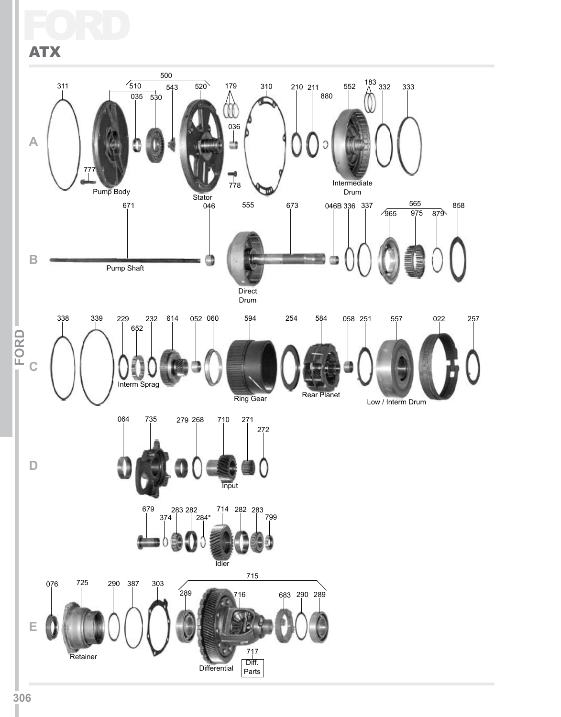### Ford ATX

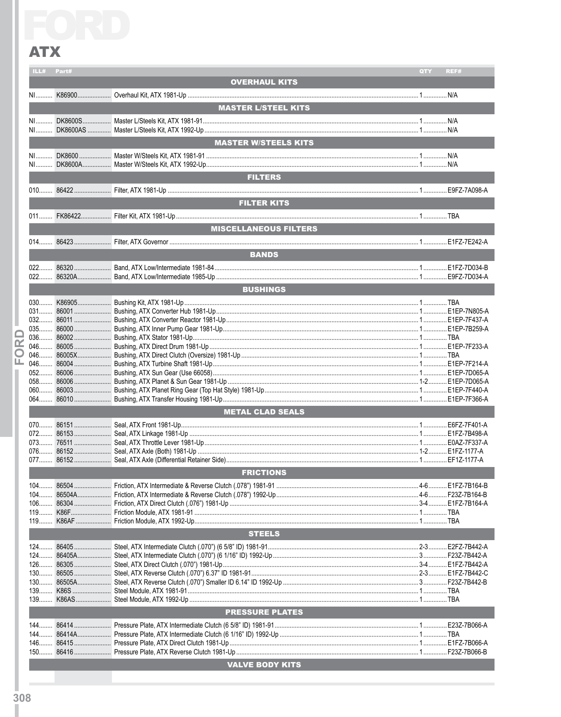|                         | ILL#           | Part# |                              | QTY | REF# |  |  |  |
|-------------------------|----------------|-------|------------------------------|-----|------|--|--|--|
|                         |                |       | <b>OVERHAUL KITS</b>         |     |      |  |  |  |
|                         |                |       |                              |     |      |  |  |  |
|                         |                |       |                              |     |      |  |  |  |
|                         |                |       | <b>MASTER L/STEEL KITS</b>   |     |      |  |  |  |
|                         |                |       |                              |     |      |  |  |  |
|                         |                |       |                              |     |      |  |  |  |
|                         |                |       |                              |     |      |  |  |  |
|                         |                |       | <b>MASTER W/STEELS KITS</b>  |     |      |  |  |  |
|                         |                |       |                              |     |      |  |  |  |
|                         |                |       |                              |     |      |  |  |  |
|                         |                |       |                              |     |      |  |  |  |
|                         | <b>FILTERS</b> |       |                              |     |      |  |  |  |
|                         |                |       |                              |     |      |  |  |  |
|                         |                |       |                              |     |      |  |  |  |
|                         |                |       | <b>FILTER KITS</b>           |     |      |  |  |  |
|                         |                |       |                              |     |      |  |  |  |
|                         |                |       |                              |     |      |  |  |  |
|                         |                |       | <b>MISCELLANEOUS FILTERS</b> |     |      |  |  |  |
|                         |                |       |                              |     |      |  |  |  |
|                         |                |       |                              |     |      |  |  |  |
|                         |                |       | <b>BANDS</b>                 |     |      |  |  |  |
|                         |                |       |                              |     |      |  |  |  |
|                         |                |       |                              |     |      |  |  |  |
|                         |                |       |                              |     |      |  |  |  |
|                         |                |       | <b>BUSHINGS</b>              |     |      |  |  |  |
|                         |                |       |                              |     |      |  |  |  |
|                         |                |       |                              |     |      |  |  |  |
|                         |                |       |                              |     |      |  |  |  |
|                         |                |       |                              |     |      |  |  |  |
|                         |                |       |                              |     |      |  |  |  |
|                         |                |       |                              |     |      |  |  |  |
| $\overline{\mathbf{r}}$ |                |       |                              |     |      |  |  |  |
| O                       |                |       |                              |     |      |  |  |  |
| ட                       |                |       |                              |     |      |  |  |  |
|                         |                |       |                              |     |      |  |  |  |
|                         |                |       |                              |     |      |  |  |  |
|                         |                |       |                              |     |      |  |  |  |
|                         |                |       |                              |     |      |  |  |  |
|                         |                |       |                              |     |      |  |  |  |
|                         |                |       | <b>METAL CLAD SEALS</b>      |     |      |  |  |  |
|                         |                |       |                              |     |      |  |  |  |
|                         |                |       |                              |     |      |  |  |  |
|                         |                |       |                              |     |      |  |  |  |
|                         |                |       |                              |     |      |  |  |  |
|                         |                |       |                              |     |      |  |  |  |
|                         |                |       |                              |     |      |  |  |  |
|                         |                |       | <b>FRICTIONS</b>             |     |      |  |  |  |
|                         |                |       |                              |     |      |  |  |  |
|                         | $104$          |       |                              |     |      |  |  |  |
|                         | $104$          |       |                              |     |      |  |  |  |
|                         | $106$          |       |                              |     |      |  |  |  |
|                         | $119$          |       |                              |     |      |  |  |  |
|                         | $119$          |       |                              |     |      |  |  |  |
|                         | <b>STEELS</b>  |       |                              |     |      |  |  |  |
|                         |                |       |                              |     |      |  |  |  |
|                         |                |       |                              |     |      |  |  |  |
|                         | $124$          |       |                              |     |      |  |  |  |
|                         | $126$          |       |                              |     |      |  |  |  |
|                         | $130$          |       |                              |     |      |  |  |  |
|                         | $130$          |       |                              |     |      |  |  |  |
|                         | 139            |       |                              |     |      |  |  |  |
|                         | $139$          |       |                              |     |      |  |  |  |
|                         |                |       | <b>PRESSURE PLATES</b>       |     |      |  |  |  |
|                         |                |       |                              |     |      |  |  |  |
|                         | $144$          |       |                              |     |      |  |  |  |
|                         |                |       |                              |     |      |  |  |  |
|                         |                |       |                              |     |      |  |  |  |
|                         |                |       |                              |     |      |  |  |  |
|                         |                |       |                              |     |      |  |  |  |
|                         |                |       | <b>VALVE BODY KITS</b>       |     |      |  |  |  |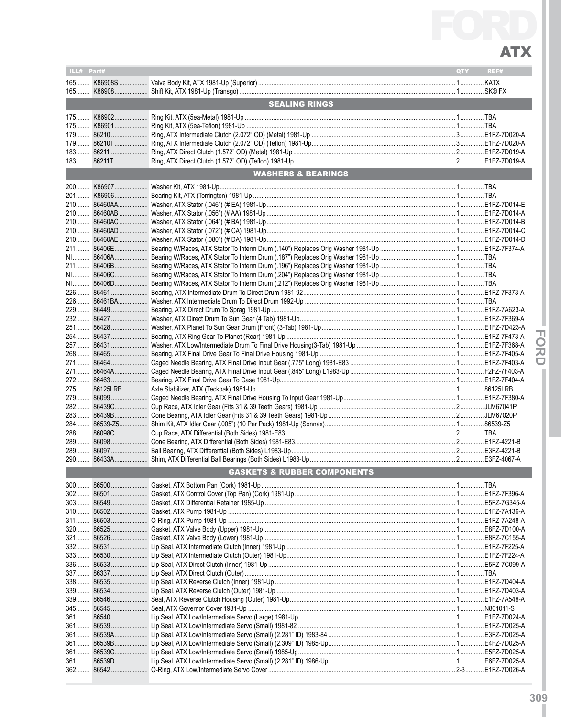| ILL# Part# |                                        | QTY | REF# |
|------------|----------------------------------------|-----|------|
|            |                                        |     |      |
|            |                                        |     |      |
|            | <b>SEALING RINGS</b>                   |     |      |
|            |                                        |     |      |
|            |                                        |     |      |
|            |                                        |     |      |
|            |                                        |     |      |
|            |                                        |     |      |
|            | <b>WASHERS &amp; BEARINGS</b>          |     |      |
|            |                                        |     |      |
|            |                                        |     |      |
|            |                                        |     |      |
|            |                                        |     |      |
|            |                                        |     |      |
|            |                                        |     |      |
|            |                                        |     |      |
|            |                                        |     |      |
|            |                                        |     |      |
|            |                                        |     |      |
|            |                                        |     |      |
|            |                                        |     |      |
|            |                                        |     |      |
|            |                                        |     |      |
|            |                                        |     |      |
|            |                                        |     |      |
|            |                                        |     |      |
|            |                                        |     |      |
|            |                                        |     |      |
|            |                                        |     |      |
|            |                                        |     |      |
|            |                                        |     |      |
|            |                                        |     |      |
|            |                                        |     |      |
|            |                                        |     |      |
| 289        |                                        |     |      |
| $289$      |                                        |     |      |
| $290$      |                                        |     |      |
|            | <b>GASKETS &amp; RUBBER COMPONENTS</b> |     |      |
|            |                                        |     |      |
|            |                                        |     |      |
|            |                                        |     |      |
|            |                                        |     |      |
|            |                                        |     |      |
|            |                                        |     |      |
|            |                                        |     |      |
|            |                                        |     |      |
|            |                                        |     |      |
|            |                                        |     |      |
|            |                                        |     |      |
|            |                                        |     |      |
|            |                                        |     |      |
|            |                                        |     |      |
|            |                                        |     |      |
| $361$      |                                        |     |      |
|            |                                        |     |      |
|            |                                        |     |      |
|            |                                        |     |      |
|            |                                        |     |      |

- FORD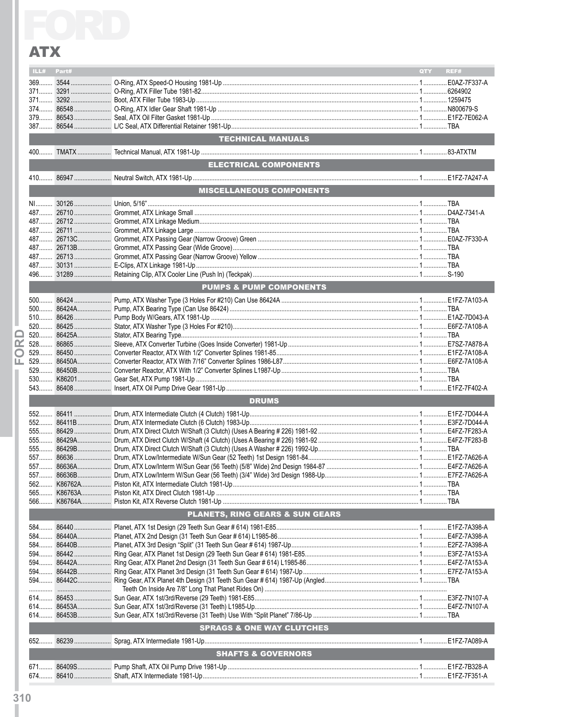|    | ILL# Part#                                 |  |                                      | QTY - | REF# |  |  |  |
|----|--------------------------------------------|--|--------------------------------------|-------|------|--|--|--|
|    |                                            |  |                                      |       |      |  |  |  |
|    |                                            |  |                                      |       |      |  |  |  |
|    |                                            |  |                                      |       |      |  |  |  |
|    |                                            |  |                                      |       |      |  |  |  |
|    |                                            |  |                                      |       |      |  |  |  |
|    |                                            |  |                                      |       |      |  |  |  |
|    |                                            |  | <b>TECHNICAL MANUALS</b>             |       |      |  |  |  |
|    |                                            |  |                                      |       |      |  |  |  |
|    |                                            |  | ELECTRICAL COMPONENTS                |       |      |  |  |  |
|    |                                            |  |                                      |       |      |  |  |  |
|    |                                            |  | <b>MISCELLANEOUS COMPONENTS</b>      |       |      |  |  |  |
|    |                                            |  |                                      |       |      |  |  |  |
|    |                                            |  |                                      |       |      |  |  |  |
|    |                                            |  |                                      |       |      |  |  |  |
|    |                                            |  |                                      |       |      |  |  |  |
|    |                                            |  |                                      |       |      |  |  |  |
|    |                                            |  |                                      |       |      |  |  |  |
|    |                                            |  |                                      |       |      |  |  |  |
|    |                                            |  |                                      |       |      |  |  |  |
|    |                                            |  |                                      |       |      |  |  |  |
|    |                                            |  | <b>PUMPS &amp; PUMP COMPONENTS</b>   |       |      |  |  |  |
|    |                                            |  |                                      |       |      |  |  |  |
|    |                                            |  |                                      |       |      |  |  |  |
|    |                                            |  |                                      |       |      |  |  |  |
|    |                                            |  |                                      |       |      |  |  |  |
| Œ. |                                            |  |                                      |       |      |  |  |  |
| O  |                                            |  |                                      |       |      |  |  |  |
| ட  |                                            |  |                                      |       |      |  |  |  |
|    |                                            |  |                                      |       |      |  |  |  |
|    |                                            |  |                                      |       |      |  |  |  |
|    |                                            |  |                                      |       |      |  |  |  |
|    | <b>DRUMS</b>                               |  |                                      |       |      |  |  |  |
|    |                                            |  |                                      |       |      |  |  |  |
|    |                                            |  |                                      |       |      |  |  |  |
|    |                                            |  |                                      |       |      |  |  |  |
|    |                                            |  |                                      |       |      |  |  |  |
|    |                                            |  |                                      |       |      |  |  |  |
|    |                                            |  |                                      |       |      |  |  |  |
|    | 557                                        |  |                                      |       |      |  |  |  |
|    |                                            |  |                                      |       |      |  |  |  |
|    |                                            |  |                                      |       |      |  |  |  |
|    |                                            |  |                                      |       |      |  |  |  |
|    | <b>PLANETS, RING GEARS &amp; SUN GEARS</b> |  |                                      |       |      |  |  |  |
|    |                                            |  |                                      |       |      |  |  |  |
|    |                                            |  |                                      |       |      |  |  |  |
|    |                                            |  |                                      |       |      |  |  |  |
|    |                                            |  |                                      |       |      |  |  |  |
|    |                                            |  |                                      |       |      |  |  |  |
|    |                                            |  |                                      |       |      |  |  |  |
|    |                                            |  |                                      |       |      |  |  |  |
|    |                                            |  |                                      |       |      |  |  |  |
|    |                                            |  |                                      |       |      |  |  |  |
|    |                                            |  |                                      |       |      |  |  |  |
|    |                                            |  | <b>SPRAGS &amp; ONE WAY CLUTCHES</b> |       |      |  |  |  |
|    |                                            |  |                                      |       |      |  |  |  |
|    |                                            |  | <b>SHAFTS &amp; GOVERNORS</b>        |       |      |  |  |  |
|    |                                            |  |                                      |       |      |  |  |  |
|    |                                            |  |                                      |       |      |  |  |  |
|    |                                            |  |                                      |       |      |  |  |  |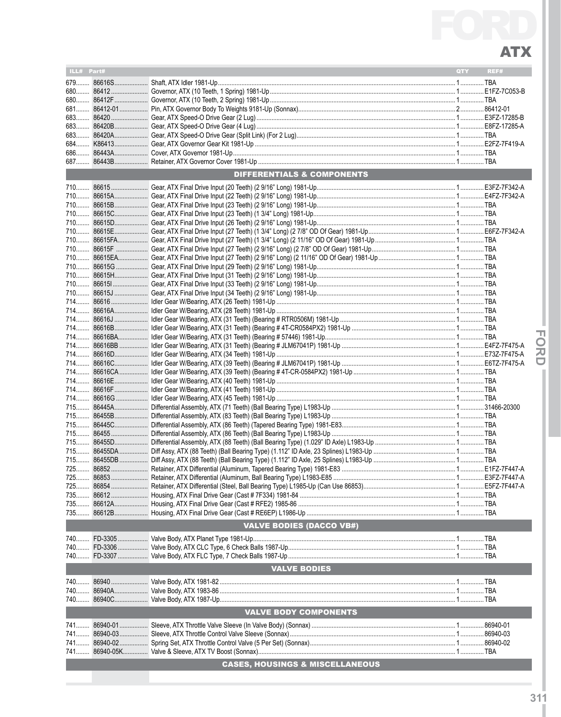| ILL# Part# | <b>QTY</b>                                 | REF# |
|------------|--------------------------------------------|------|
|            |                                            |      |
|            |                                            |      |
|            |                                            |      |
|            |                                            |      |
|            |                                            |      |
|            |                                            |      |
|            |                                            |      |
|            |                                            |      |
|            |                                            |      |
|            |                                            |      |
|            | <b>DIFFERENTIALS &amp; COMPONENTS</b>      |      |
|            |                                            |      |
|            |                                            |      |
|            |                                            |      |
|            |                                            |      |
|            |                                            |      |
|            |                                            |      |
|            |                                            |      |
|            |                                            |      |
|            |                                            |      |
|            |                                            |      |
|            |                                            |      |
|            |                                            |      |
|            |                                            |      |
|            |                                            |      |
|            |                                            |      |
|            |                                            |      |
|            |                                            |      |
|            |                                            |      |
|            |                                            |      |
|            |                                            |      |
|            |                                            |      |
|            |                                            |      |
|            |                                            |      |
|            |                                            |      |
|            |                                            |      |
|            |                                            |      |
|            |                                            |      |
|            |                                            |      |
|            |                                            |      |
|            |                                            |      |
|            |                                            |      |
|            |                                            |      |
|            |                                            |      |
|            |                                            |      |
|            |                                            |      |
|            |                                            |      |
|            | <b>VALVE BODIES (DACCO VB#)</b>            |      |
|            |                                            |      |
|            |                                            |      |
|            |                                            |      |
|            | <b>VALVE BODIES</b>                        |      |
|            |                                            |      |
|            |                                            |      |
|            |                                            |      |
|            | <b>VALVE BODY COMPONENTS</b>               |      |
|            |                                            |      |
|            |                                            |      |
|            |                                            |      |
|            |                                            |      |
|            | <b>CASES, HOUSINGS &amp; MISCELLANEOUS</b> |      |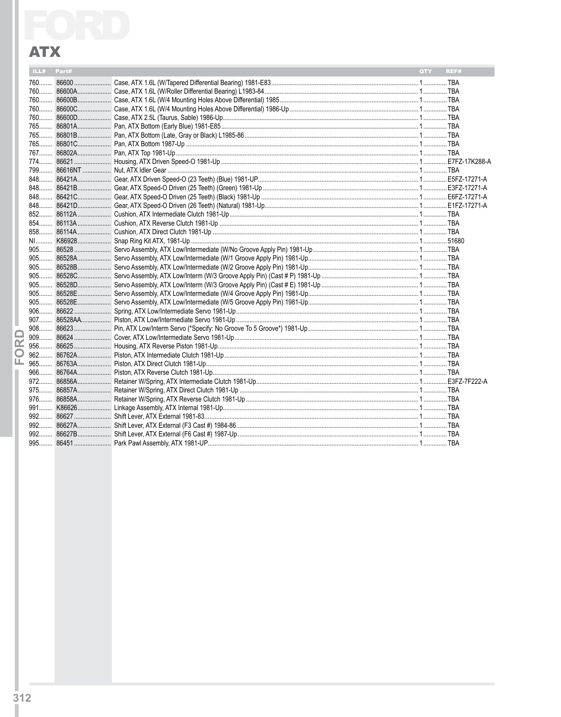| ILL# | Part# | REF#<br><b>QTY</b> |
|------|-------|--------------------|
|      |       |                    |
|      |       |                    |
|      |       |                    |
|      |       |                    |
|      |       |                    |
|      |       |                    |
|      |       |                    |
|      |       |                    |
|      |       |                    |
|      |       |                    |
|      |       |                    |
|      |       |                    |
|      |       |                    |
|      |       |                    |
|      |       |                    |
|      |       |                    |
|      |       |                    |
|      |       |                    |
|      |       |                    |
|      |       |                    |
|      |       |                    |
|      |       |                    |
|      |       |                    |
|      |       |                    |
|      |       |                    |
|      |       |                    |
|      |       |                    |
|      |       |                    |
|      |       |                    |
|      |       |                    |
|      |       |                    |
|      |       |                    |
|      |       |                    |
|      |       |                    |
|      |       |                    |
|      |       |                    |
|      |       |                    |
|      |       |                    |
|      |       |                    |
|      |       |                    |
|      |       |                    |
|      |       |                    |

ı